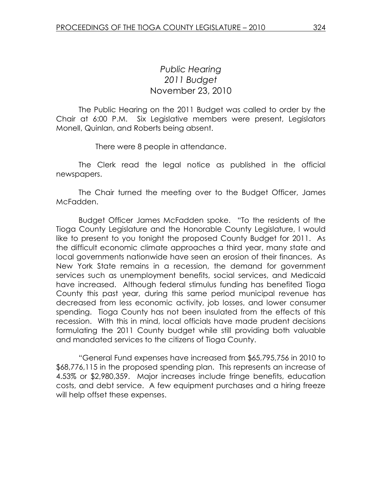## Public Hearing 2011 Budget November 23, 2010

 The Public Hearing on the 2011 Budget was called to order by the Chair at 6:00 P.M. Six Legislative members were present, Legislators Monell, Quinlan, and Roberts being absent.

There were 8 people in attendance.

 The Clerk read the legal notice as published in the official newspapers.

 The Chair turned the meeting over to the Budget Officer, James McFadden.

Budget Officer James McFadden spoke. "To the residents of the Tioga County Legislature and the Honorable County Legislature, I would like to present to you tonight the proposed County Budget for 2011. As the difficult economic climate approaches a third year, many state and local governments nationwide have seen an erosion of their finances. As New York State remains in a recession, the demand for government services such as unemployment benefits, social services, and Medicaid have increased. Although federal stimulus funding has benefited Tioga County this past year, during this same period municipal revenue has decreased from less economic activity, job losses, and lower consumer spending. Tioga County has not been insulated from the effects of this recession. With this in mind, local officials have made prudent decisions formulating the 2011 County budget while still providing both valuable and mandated services to the citizens of Tioga County.

 "General Fund expenses have increased from \$65,795,756 in 2010 to \$68,776,115 in the proposed spending plan. This represents an increase of 4.53% or \$2,980,359. Major increases include fringe benefits, education costs, and debt service. A few equipment purchases and a hiring freeze will help offset these expenses.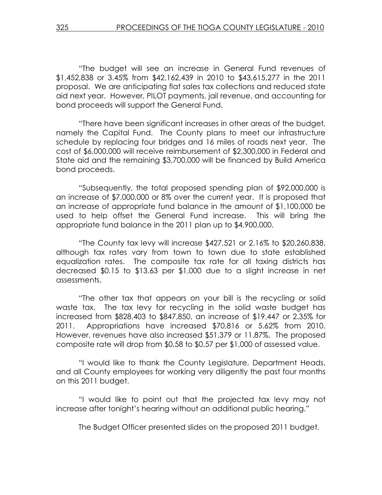"The budget will see an increase in General Fund revenues of \$1,452,838 or 3.45% from \$42,162,439 in 2010 to \$43,615,277 in the 2011 proposal. We are anticipating flat sales tax collections and reduced state aid next year. However, PILOT payments, jail revenue, and accounting for bond proceeds will support the General Fund.

 "There have been significant increases in other areas of the budget, namely the Capital Fund. The County plans to meet our infrastructure schedule by replacing four bridges and 16 miles of roads next year. The cost of \$6,000,000 will receive reimbursement of \$2,300,000 in Federal and State aid and the remaining \$3,700,000 will be financed by Build America bond proceeds.

 "Subsequently, the total proposed spending plan of \$92,000,000 is an increase of \$7,000,000 or 8% over the current year. It is proposed that an increase of appropriate fund balance in the amount of \$1,100,000 be used to help offset the General Fund increase. This will bring the appropriate fund balance in the 2011 plan up to \$4,900,000.

 "The County tax levy will increase \$427,521 or 2.16% to \$20,260,838, although tax rates vary from town to town due to state established equalization rates. The composite tax rate for all taxing districts has decreased \$0.15 to \$13.63 per \$1,000 due to a slight increase in net assessments.

 "The other tax that appears on your bill is the recycling or solid waste tax. The tax levy for recycling in the solid waste budget has increased from \$828,403 to \$847,850, an increase of \$19,447 or 2.35% for 2011. Appropriations have increased \$70,816 or 5.62% from 2010. However, revenues have also increased \$51,379 or 11.87%. The proposed composite rate will drop from \$0.58 to \$0.57 per \$1,000 of assessed value.

 "I would like to thank the County Legislature, Department Heads, and all County employees for working very diligently the past four months on this 2011 budget.

 "I would like to point out that the projected tax levy may not increase after tonight's hearing without an additional public hearing."

The Budget Officer presented slides on the proposed 2011 budget.